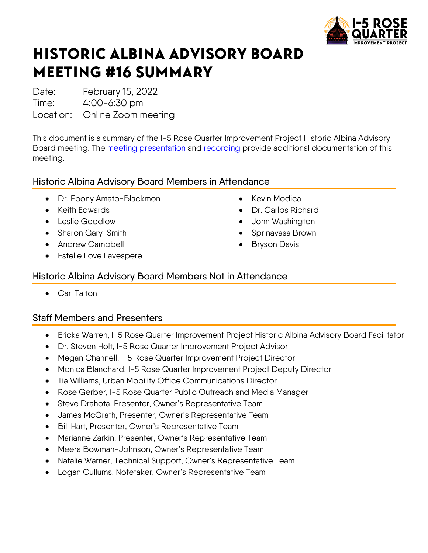

# HISTORIC ALBINA ADVISORY BOARD MEETING #16 SUMMARY

Date: February 15, 2022

Time: 4:00-6:30 pm

Location: Online Zoom meeting

This document is a summary of the I-5 Rose Quarter Improvement Project Historic Albina Advisory Board meeting. The [meeting presentation](https://i5rosequarter.oregon.gov/Documents/2022_0214_Feb%20HAAB%20Presentation_remediated.pdf) and [recording](https://www.youtube.com/watch?v=NEOMwCbLdO0) provide additional documentation of this meeting.

# Historic Albina Advisory Board Members in Attendance

- Dr. Ebony Amato-Blackmon
- Keith Edwards
- Leslie Goodlow
- Sharon Gary-Smith
- Andrew Campbell
- Estelle Love Lavespere
- Kevin Modica
- Dr. Carlos Richard
- John Washington
- Sprinavasa Brown
- **Bryson Davis**

## Historic Albina Advisory Board Members Not in Attendance

• Carl Talton

# Staff Members and Presenters

- Ericka Warren, I-5 Rose Quarter Improvement Project Historic Albina Advisory Board Facilitator
- Dr. Steven Holt, I-5 Rose Quarter Improvement Project Advisor
- Megan Channell, I-5 Rose Quarter Improvement Project Director
- Monica Blanchard, I-5 Rose Quarter Improvement Project Deputy Director
- Tia Williams, Urban Mobility Office Communications Director
- Rose Gerber, I-5 Rose Quarter Public Outreach and Media Manager
- Steve Drahota, Presenter, Owner's Representative Team
- James McGrath, Presenter, Owner's Representative Team
- Bill Hart, Presenter, Owner's Representative Team
- Marianne Zarkin, Presenter, Owner's Representative Team
- Meera Bowman-Johnson, Owner's Representative Team
- Natalie Warner, Technical Support, Owner's Representative Team
- Logan Cullums, Notetaker, Owner's Representative Team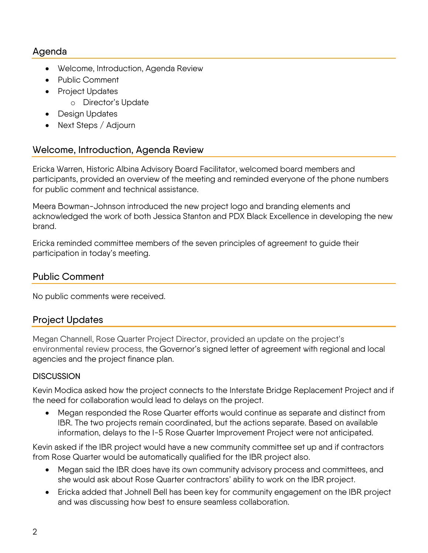## Agenda

- Welcome, Introduction, Agenda Review
- Public Comment
- Project Updates
	- o Director's Update
- Design Updates
- Next Steps / Adjourn

## Welcome, Introduction, Agenda Review

Ericka Warren, Historic Albina Advisory Board Facilitator, welcomed board members and participants, provided an overview of the meeting and reminded everyone of the phone numbers for public comment and technical assistance.

Meera Bowman-Johnson introduced the new project logo and branding elements and acknowledged the work of both Jessica Stanton and PDX Black Excellence in developing the new brand.

Ericka reminded committee members of the seven principles of agreement to guide their participation in today's meeting.

### Public Comment

No public comments were received.

## Project Updates

Megan Channell, Rose Quarter Project Director, provided an update on the project's environmental review process, the Governor's signed letter of agreement with regional and local agencies and the project finance plan.

#### **DISCUSSION**

Kevin Modica asked how the project connects to the Interstate Bridge Replacement Project and if the need for collaboration would lead to delays on the project.

• Megan responded the Rose Quarter efforts would continue as separate and distinct from IBR. The two projects remain coordinated, but the actions separate. Based on available information, delays to the I-5 Rose Quarter Improvement Project were not anticipated.

Kevin asked if the IBR project would have a new community committee set up and if contractors from Rose Quarter would be automatically qualified for the IBR project also.

- Megan said the IBR does have its own community advisory process and committees, and she would ask about Rose Quarter contractors' ability to work on the IBR project.
- Ericka added that Johnell Bell has been key for community engagement on the IBR project and was discussing how best to ensure seamless collaboration.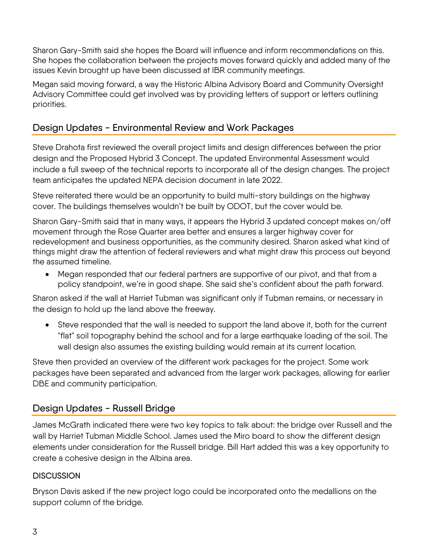Sharon Gary-Smith said she hopes the Board will influence and inform recommendations on this. She hopes the collaboration between the projects moves forward quickly and added many of the issues Kevin brought up have been discussed at IBR community meetings.

Megan said moving forward, a way the Historic Albina Advisory Board and Community Oversight Advisory Committee could get involved was by providing letters of support or letters outlining priorities.

# Design Updates - Environmental Review and Work Packages

Steve Drahota first reviewed the overall project limits and design differences between the prior design and the Proposed Hybrid 3 Concept. The updated Environmental Assessment would include a full sweep of the technical reports to incorporate all of the design changes. The project team anticipates the updated NEPA decision document in late 2022.

Steve reiterated there would be an opportunity to build multi-story buildings on the highway cover. The buildings themselves wouldn't be built by ODOT, but the cover would be.

Sharon Gary-Smith said that in many ways, it appears the Hybrid 3 updated concept makes on/off movement through the Rose Quarter area better and ensures a larger highway cover for redevelopment and business opportunities, as the community desired. Sharon asked what kind of things might draw the attention of federal reviewers and what might draw this process out beyond the assumed timeline.

• Megan responded that our federal partners are supportive of our pivot, and that from a policy standpoint, we're in good shape. She said she's confident about the path forward.

Sharon asked if the wall at Harriet Tubman was significant only if Tubman remains, or necessary in the design to hold up the land above the freeway.

• Steve responded that the wall is needed to support the land above it, both for the current "flat" soil topography behind the school and for a large earthquake loading of the soil. The wall design also assumes the existing building would remain at its current location.

Steve then provided an overview of the different work packages for the project. Some work packages have been separated and advanced from the larger work packages, allowing for earlier DBE and community participation.

# Design Updates - Russell Bridge

James McGrath indicated there were two key topics to talk about: the bridge over Russell and the wall by Harriet Tubman Middle School. James used the Miro board to show the different design elements under consideration for the Russell bridge. Bill Hart added this was a key opportunity to create a cohesive design in the Albina area.

#### **DISCUSSION**

Bryson Davis asked if the new project logo could be incorporated onto the medallions on the support column of the bridge.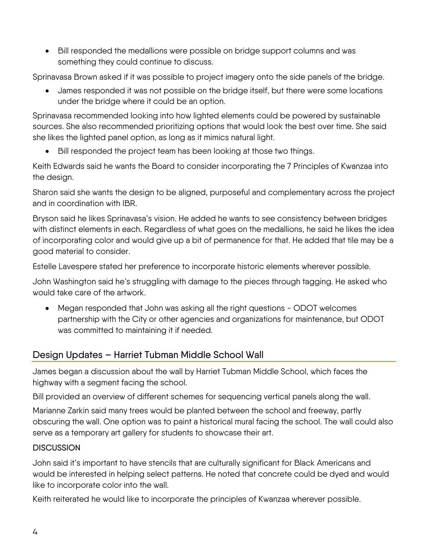• Bill responded the medallions were possible on bridge support columns and was something they could continue to discuss.

Sprinavasa Brown asked if it was possible to project imagery onto the side panels of the bridge.

• James responded it was not possible on the bridge itself, but there were some locations under the bridge where it could be an option.

Sprinavasa recommended looking into how lighted elements could be powered by sustainable sources. She also recommended prioritizing options that would look the best over time. She said she likes the lighted panel option, as long as it mimics natural light.

• Bill responded the project team has been looking at those two things.

Keith Edwards said he wants the Board to consider incorporating the 7 Principles of Kwanzaa into the design.

Sharon said she wants the design to be aligned, purposeful and complementary across the project and in coordination with IBR.

Bryson said he likes Sprinavasa's vision. He added he wants to see consistency between bridges with distinct elements in each. Regardless of what goes on the medallions, he said he likes the idea of incorporating color and would give up a bit of permanence for that. He added that tile may be a good material to consider.

Estelle Lavespere stated her preference to incorporate historic elements wherever possible.

John Washington said he's struggling with damage to the pieces through tagging. He asked who would take care of the artwork.

• Megan responded that John was asking all the right questions - ODOT welcomes partnership with the City or other agencies and organizations for maintenance, but ODOT was committed to maintaining it if needed.

# Design Updates – Harriet Tubman Middle School Wall

James began a discussion about the wall by Harriet Tubman Middle School, which faces the highway with a segment facing the school.

Bill provided an overview of different schemes for sequencing vertical panels along the wall.

Marianne Zarkin said many trees would be planted between the school and freeway, partly obscuring the wall. One option was to paint a historical mural facing the school. The wall could also serve as a temporary art gallery for students to showcase their art.

#### **DISCUSSION**

John said it's important to have stencils that are culturally significant for Black Americans and would be interested in helping select patterns. He noted that concrete could be dyed and would like to incorporate color into the wall.

Keith reiterated he would like to incorporate the principles of Kwanzaa wherever possible.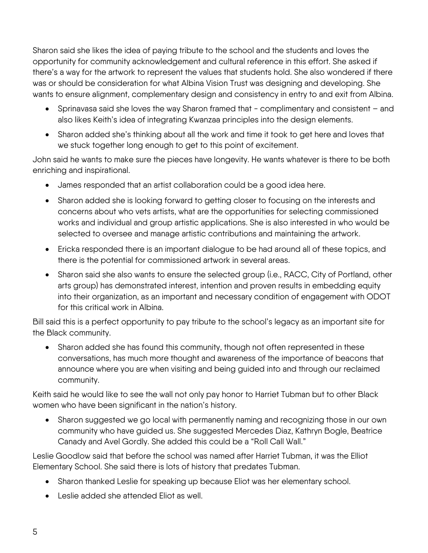Sharon said she likes the idea of paying tribute to the school and the students and loves the opportunity for community acknowledgement and cultural reference in this effort. She asked if there's a way for the artwork to represent the values that students hold. She also wondered if there was or should be consideration for what Albina Vision Trust was designing and developing. She wants to ensure alignment, complementary design and consistency in entry to and exit from Albina.

- Sprinavasa said she loves the way Sharon framed that complimentary and consistent and also likes Keith's idea of integrating Kwanzaa principles into the design elements.
- Sharon added she's thinking about all the work and time it took to get here and loves that we stuck together long enough to get to this point of excitement.

John said he wants to make sure the pieces have longevity. He wants whatever is there to be both enriching and inspirational.

- James responded that an artist collaboration could be a good idea here.
- Sharon added she is looking forward to getting closer to focusing on the interests and concerns about who vets artists, what are the opportunities for selecting commissioned works and individual and group artistic applications. She is also interested in who would be selected to oversee and manage artistic contributions and maintaining the artwork.
- Ericka responded there is an important dialogue to be had around all of these topics, and there is the potential for commissioned artwork in several areas.
- Sharon said she also wants to ensure the selected group (i.e., RACC, City of Portland, other arts group) has demonstrated interest, intention and proven results in embedding equity into their organization, as an important and necessary condition of engagement with ODOT for this critical work in Albina.

Bill said this is a perfect opportunity to pay tribute to the school's legacy as an important site for the Black community.

• Sharon added she has found this community, though not often represented in these conversations, has much more thought and awareness of the importance of beacons that announce where you are when visiting and being guided into and through our reclaimed community.

Keith said he would like to see the wall not only pay honor to Harriet Tubman but to other Black women who have been significant in the nation's history.

• Sharon suggested we go local with permanently naming and recognizing those in our own community who have guided us. She suggested Mercedes Diaz, Kathryn Bogle, Beatrice Canady and Avel Gordly. She added this could be a "Roll Call Wall."

Leslie Goodlow said that before the school was named after Harriet Tubman, it was the Elliot Elementary School. She said there is lots of history that predates Tubman.

- Sharon thanked Leslie for speaking up because Eliot was her elementary school.
- Leslie added she attended Eliot as well.